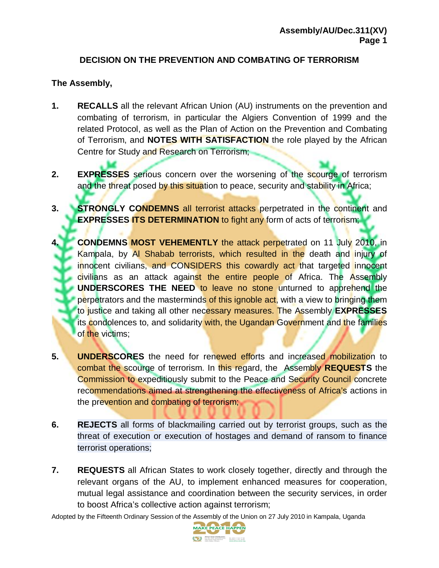## **DECISION ON THE PREVENTION AND COMBATING OF TERRORISM**

## **The Assembly,**

- **1. RECALLS** all the relevant African Union (AU) instruments on the prevention and combating of terrorism, in particular the Algiers Convention of 1999 and the related Protocol, as well as the Plan of Action on the Prevention and Combating of Terrorism, and **NOTES WITH SATISFACTION** the role played by the African Centre for Study and Research on Terrorism;
- **2. EXPRESSES** serious concern over the worsening of the scourge of terrorism and the threat posed by this situation to peace, security and stability in Africa;
- **3. STRONGLY CONDEMNS** all terrorist attacks perpetrated in the continent and **EXPRESSES ITS DETERMINATION** to fight any form of acts of terrorism;
- **4. CONDEMNS MOST VEHEMENTLY** the attack perpetrated on 11 July 2010, in Kampala, by Al Shabab terrorists, which resulted in the death and injury of innocent civilians, and CONSIDERS this cowardly act that targeted innocent civilians as an attack against the entire people of Africa. The Assembly **UNDERSCORES THE NEED** to leave no stone unturned to apprehend the perpetrators and the masterminds of this ignoble act, with a view to bringing them to justice and taking all other necessary measures. The Assembly **EXPRESSES**  its condolences to, and solidarity with, the Ugandan Government and the families of the victims;
- **5. UNDERSCORES** the need for renewed efforts and increased mobilization to combat the scourge of terrorism. In this regard, the Assembly **REQUESTS** the Commission to expeditiously submit to the Peace and Security Council concrete recommendations aimed at strengthening the effectiveness of Africa's actions in the prevention and combating of terrorism;
- **6. REJECTS** all forms of blackmailing carried out by terrorist groups, such as the threat of execution or execution of hostages and demand of ransom to finance terrorist operations;
- **7. REQUESTS** all African States to work closely together, directly and through the relevant organs of the AU, to implement enhanced measures for cooperation, mutual legal assistance and coordination between the security services, in order to boost Africa's collective action against terrorism;

Adopted by the Fifteenth Ordinary Session of the Assembly of the Union on 27 July 2010 in Kampala, Uganda